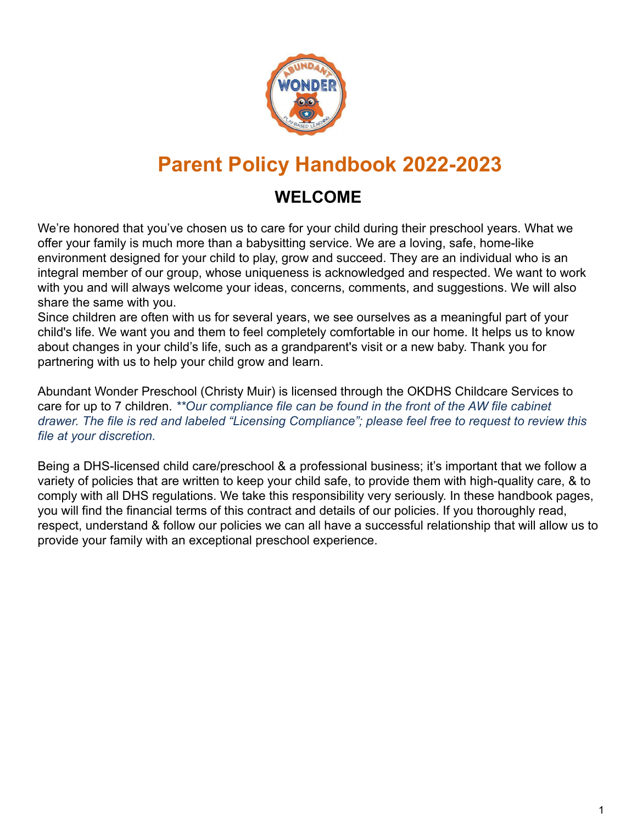

# **Parent Policy Handbook 2022-2023**

## **WELCOME**

We're honored that you've chosen us to care for your child during their preschool years. What we offer your family is much more than a babysitting service. We are a loving, safe, home-like environment designed for your child to play, grow and succeed. They are an individual who is an integral member of our group, whose uniqueness is acknowledged and respected. We want to work with you and will always welcome your ideas, concerns, comments, and suggestions. We will also share the same with you.

Since children are often with us for several years, we see ourselves as a meaningful part of your child's life. We want you and them to feel completely comfortable in our home. It helps us to know about changes in your child's life, such as a grandparent's visit or a new baby. Thank you for partnering with us to help your child grow and learn.

Abundant Wonder Preschool (Christy Muir) is licensed through the OKDHS Childcare Services to care for up to 7 children. *\*\*Our compliance file can be found in the front of the AW file cabinet drawer. The file is red and labeled "Licensing Compliance"; please feel free to request to review this file at your discretion.*

Being a DHS-licensed child care/preschool & a professional business; it's important that we follow a variety of policies that are written to keep your child safe, to provide them with high-quality care, & to comply with all DHS regulations. We take this responsibility very seriously. In these handbook pages, you will find the financial terms of this contract and details of our policies. If you thoroughly read, respect, understand & follow our policies we can all have a successful relationship that will allow us to provide your family with an exceptional preschool experience.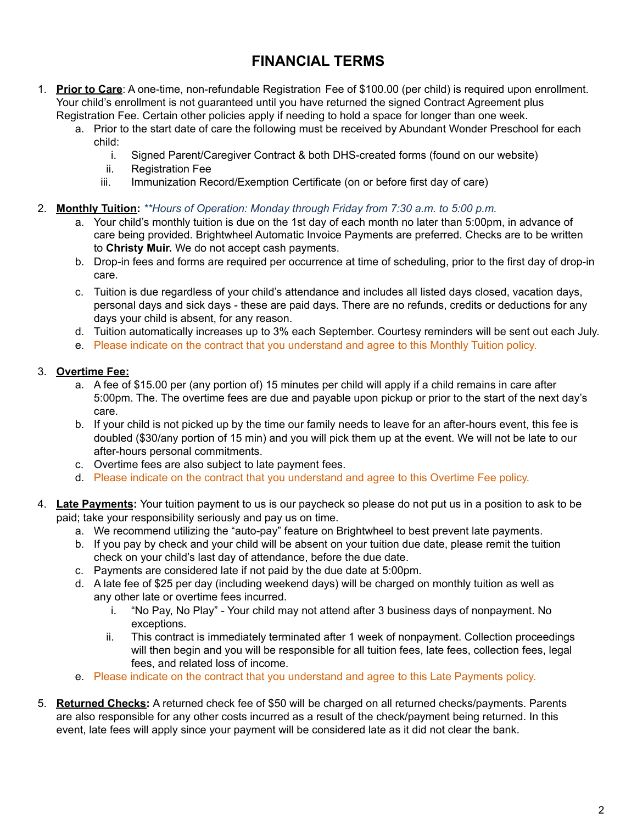### **FINANCIAL TERMS**

- 1. **Prior to Care**: A one-time, non-refundable Registration Fee of \$100.00 (per child) is required upon enrollment. Your child's enrollment is not guaranteed until you have returned the signed Contract Agreement plus Registration Fee. Certain other policies apply if needing to hold a space for longer than one week.
	- a. Prior to the start date of care the following must be received by Abundant Wonder Preschool for each child:
		- i. Signed Parent/Caregiver Contract & both DHS-created forms (found on our website)
		- ii. Registration Fee
		- iii. Immunization Record/Exemption Certificate (on or before first day of care)

#### 2. **Monthly Tuition:** *\*\*Hours of Operation: Monday through Friday from 7:30 a.m. to 5:00 p.m.*

- a. Your child's monthly tuition is due on the 1st day of each month no later than 5:00pm, in advance of care being provided. Brightwheel Automatic Invoice Payments are preferred. Checks are to be written to **Christy Muir.** We do not accept cash payments.
- b. Drop-in fees and forms are required per occurrence at time of scheduling, prior to the first day of drop-in care.
- c. Tuition is due regardless of your child's attendance and includes all listed days closed, vacation days, personal days and sick days - these are paid days. There are no refunds, credits or deductions for any days your child is absent, for any reason.
- d. Tuition automatically increases up to 3% each September. Courtesy reminders will be sent out each July.
- e. Please indicate on the contract that you understand and agree to this Monthly Tuition policy.

### 3. **Overtime Fee:**

- a. A fee of \$15.00 per (any portion of) 15 minutes per child will apply if a child remains in care after 5:00pm. The. The overtime fees are due and payable upon pickup or prior to the start of the next day's care.
- b. If your child is not picked up by the time our family needs to leave for an after-hours event, this fee is doubled (\$30/any portion of 15 min) and you will pick them up at the event. We will not be late to our after-hours personal commitments.
- c. Overtime fees are also subject to late payment fees.
- d. Please indicate on the contract that you understand and agree to this Overtime Fee policy.
- 4. **Late Payments:** Your tuition payment to us is our paycheck so please do not put us in a position to ask to be paid; take your responsibility seriously and pay us on time.
	- a. We recommend utilizing the "auto-pay" feature on Brightwheel to best prevent late payments.
	- b. If you pay by check and your child will be absent on your tuition due date, please remit the tuition check on your child's last day of attendance, before the due date.
	- c. Payments are considered late if not paid by the due date at 5:00pm.
	- d. A late fee of \$25 per day (including weekend days) will be charged on monthly tuition as well as any other late or overtime fees incurred.
		- i. "No Pay, No Play" Your child may not attend after 3 business days of nonpayment. No exceptions.
		- ii. This contract is immediately terminated after 1 week of nonpayment. Collection proceedings will then begin and you will be responsible for all tuition fees, late fees, collection fees, legal fees, and related loss of income.
	- e. Please indicate on the contract that you understand and agree to this Late Payments policy.
- 5. **Returned Checks:** A returned check fee of \$50 will be charged on all returned checks/payments. Parents are also responsible for any other costs incurred as a result of the check/payment being returned. In this event, late fees will apply since your payment will be considered late as it did not clear the bank.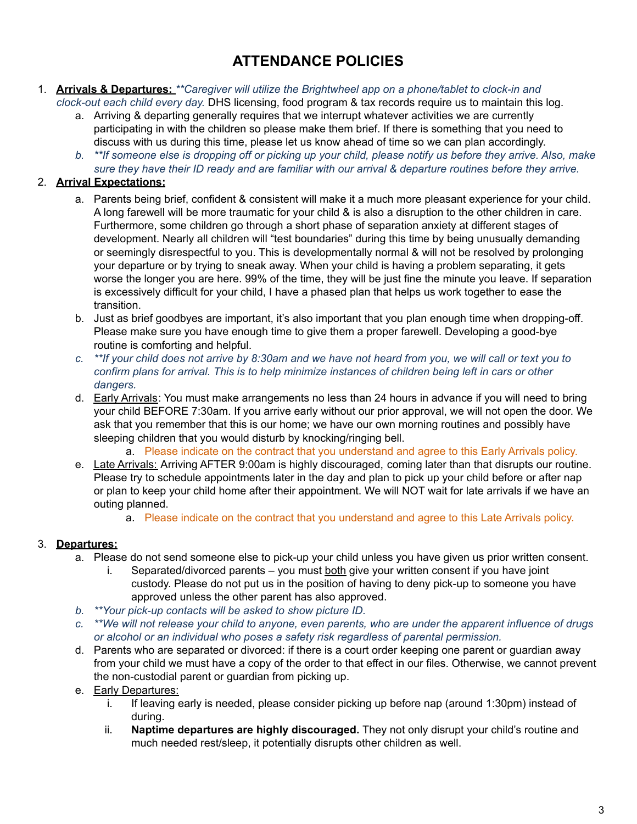### **ATTENDANCE POLICIES**

#### 1. **Arrivals & Departures:** *\*\*Caregiver will utilize the Brightwheel app on a phone/tablet to clock-in and clock-out each child every day.* DHS licensing, food program & tax records require us to maintain this log.

a. Arriving & departing generally requires that we interrupt whatever activities we are currently

- participating in with the children so please make them brief. If there is something that you need to discuss with us during this time, please let us know ahead of time so we can plan accordingly.
- *b. \*\*If someone else is dropping off or picking up your child, please notify us before they arrive. Also, make sure they have their ID ready and are familiar with our arrival & departure routines before they arrive.*

### 2. **Arrival Expectations:**

- a. Parents being brief, confident & consistent will make it a much more pleasant experience for your child. A long farewell will be more traumatic for your child & is also a disruption to the other children in care. Furthermore, some children go through a short phase of separation anxiety at different stages of development. Nearly all children will "test boundaries" during this time by being unusually demanding or seemingly disrespectful to you. This is developmentally normal & will not be resolved by prolonging your departure or by trying to sneak away. When your child is having a problem separating, it gets worse the longer you are here. 99% of the time, they will be just fine the minute you leave. If separation is excessively difficult for your child, I have a phased plan that helps us work together to ease the transition.
- b. Just as brief goodbyes are important, it's also important that you plan enough time when dropping-off. Please make sure you have enough time to give them a proper farewell. Developing a good-bye routine is comforting and helpful.
- *c. \*\*If your child does not arrive by 8:30am and we have not heard from you, we will call or text you to confirm plans for arrival. This is to help minimize instances of children being left in cars or other dangers.*
- d. Early Arrivals: You must make arrangements no less than 24 hours in advance if you will need to bring your child BEFORE 7:30am. If you arrive early without our prior approval, we will not open the door. We ask that you remember that this is our home; we have our own morning routines and possibly have sleeping children that you would disturb by knocking/ringing bell.
	- a. Please indicate on the contract that you understand and agree to this Early Arrivals policy.
- e. Late Arrivals: Arriving AFTER 9:00am is highly discouraged, coming later than that disrupts our routine. Please try to schedule appointments later in the day and plan to pick up your child before or after nap or plan to keep your child home after their appointment. We will NOT wait for late arrivals if we have an outing planned.
	- a. Please indicate on the contract that you understand and agree to this Late Arrivals policy.

### 3. **Departures:**

- a. Please do not send someone else to pick-up your child unless you have given us prior written consent.
	- i. Separated/divorced parents you must both give your written consent if you have joint custody. Please do not put us in the position of having to deny pick-up to someone you have approved unless the other parent has also approved.
- *b. \*\*Your pick-up contacts will be asked to show picture ID.*
- *c. \*\*We will not release your child to anyone, even parents, who are under the apparent influence of drugs or alcohol or an individual who poses a safety risk regardless of parental permission.*
- d. Parents who are separated or divorced: if there is a court order keeping one parent or guardian away from your child we must have a copy of the order to that effect in our files. Otherwise, we cannot prevent the non-custodial parent or guardian from picking up.
- e. Early Departures:
	- i. If leaving early is needed, please consider picking up before nap (around 1:30pm) instead of during.
	- ii. **Naptime departures are highly discouraged.** They not only disrupt your child's routine and much needed rest/sleep, it potentially disrupts other children as well.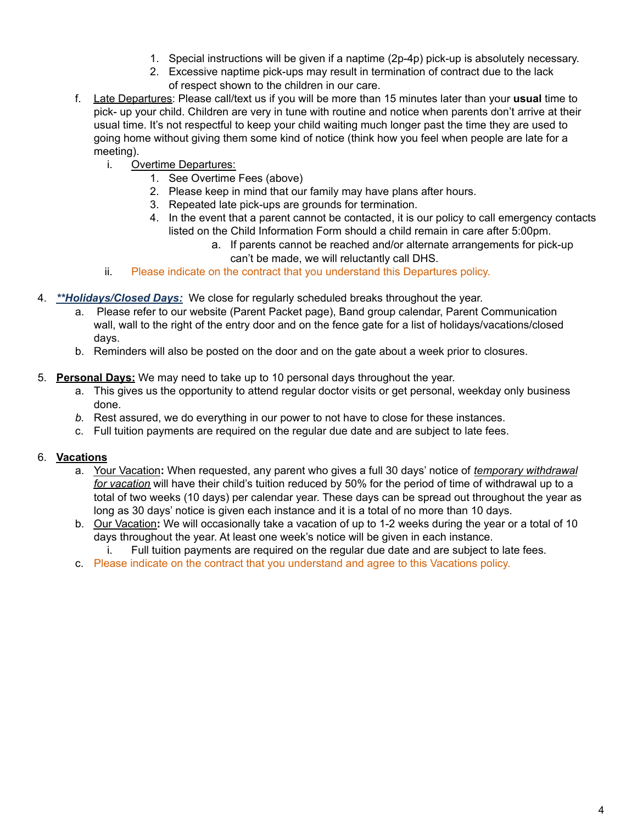- 1. Special instructions will be given if a naptime (2p-4p) pick-up is absolutely necessary.
- 2. Excessive naptime pick-ups may result in termination of contract due to the lack of respect shown to the children in our care.
- f. Late Departures: Please call/text us if you will be more than 15 minutes later than your **usual** time to pick- up your child. Children are very in tune with routine and notice when parents don't arrive at their usual time. It's not respectful to keep your child waiting much longer past the time they are used to going home without giving them some kind of notice (think how you feel when people are late for a meeting).
	- i. Overtime Departures:
		- 1. See Overtime Fees (above)
		- 2. Please keep in mind that our family may have plans after hours.
		- 3. Repeated late pick-ups are grounds for termination.
		- 4. In the event that a parent cannot be contacted, it is our policy to call emergency contacts listed on the Child Information Form should a child remain in care after 5:00pm.
			- a. If parents cannot be reached and/or alternate arrangements for pick-up can't be made, we will reluctantly call DHS.
	- ii. Please indicate on the contract that you understand this Departures policy.
- 4. *\*\*Holidays/Closed Days:* We close for regularly scheduled breaks throughout the year.
	- a. Please refer to our website (Parent Packet page), Band group calendar, Parent Communication wall, wall to the right of the entry door and on the fence gate for a list of holidays/vacations/closed days.
	- b. Reminders will also be posted on the door and on the gate about a week prior to closures.
- 5. **Personal Days:** We may need to take up to 10 personal days throughout the year.
	- a. This gives us the opportunity to attend regular doctor visits or get personal, weekday only business done.
	- *b.* Rest assured, we do everything in our power to not have to close for these instances.
	- c. Full tuition payments are required on the regular due date and are subject to late fees.

#### 6. **Vacations**

- a. Your Vacation**:** When requested, any parent who gives a full 30 days' notice of *temporary withdrawal for vacation* will have their child's tuition reduced by 50% for the period of time of withdrawal up to a total of two weeks (10 days) per calendar year. These days can be spread out throughout the year as long as 30 days' notice is given each instance and it is a total of no more than 10 days.
- b. Our Vacation**:** We will occasionally take a vacation of up to 1-2 weeks during the year or a total of 10 days throughout the year. At least one week's notice will be given in each instance. i. Full tuition payments are required on the regular due date and are subject to late fees.
- c. Please indicate on the contract that you understand and agree to this Vacations policy.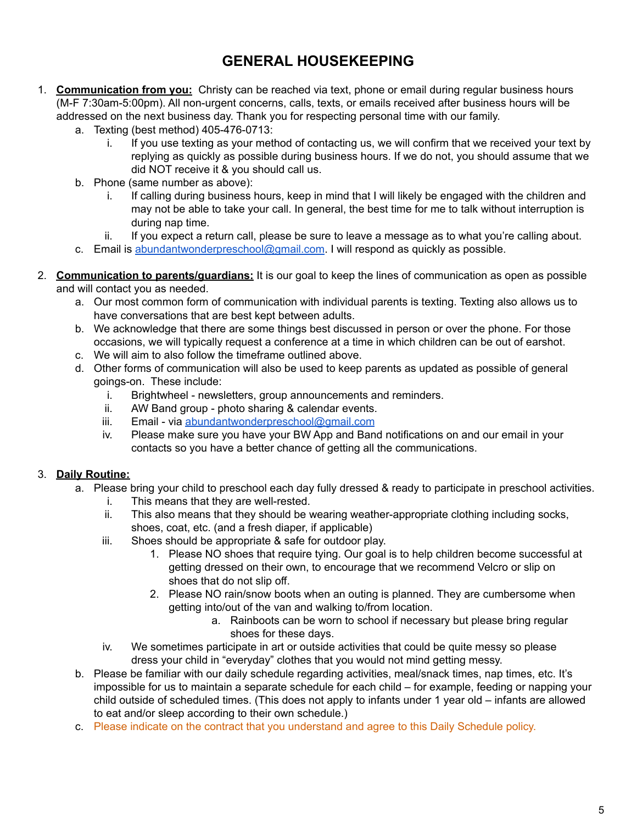### **GENERAL HOUSEKEEPING**

- 1. **Communication from you:** Christy can be reached via text, phone or email during regular business hours (M-F 7:30am-5:00pm). All non-urgent concerns, calls, texts, or emails received after business hours will be addressed on the next business day. Thank you for respecting personal time with our family.
	- a. Texting (best method) 405-476-0713:
		- i. If you use texting as your method of contacting us, we will confirm that we received your text by replying as quickly as possible during business hours. If we do not, you should assume that we did NOT receive it & you should call us.
	- b. Phone (same number as above):
		- i. If calling during business hours, keep in mind that I will likely be engaged with the children and may not be able to take your call. In general, the best time for me to talk without interruption is during nap time.
		- ii. If you expect a return call, please be sure to leave a message as to what you're calling about.
	- c. Email is [abundantwonderpreschool@gmail.com](mailto:abundantwonderpreschool@gmail.com). I will respond as quickly as possible.
- 2. **Communication to parents/guardians:** It is our goal to keep the lines of communication as open as possible and will contact you as needed.
	- a. Our most common form of communication with individual parents is texting. Texting also allows us to have conversations that are best kept between adults.
	- b. We acknowledge that there are some things best discussed in person or over the phone. For those occasions, we will typically request a conference at a time in which children can be out of earshot.
	- c. We will aim to also follow the timeframe outlined above.
	- d. Other forms of communication will also be used to keep parents as updated as possible of general goings-on. These include:
		- i. Brightwheel newsletters, group announcements and reminders.
		- ii. AW Band group photo sharing & calendar events.
		- iii. Email via [abundantwonderpreschool@gmail.com](mailto:abundantwonderpreschool@gmail.com)
		- iv. Please make sure you have your BW App and Band notifications on and our email in your contacts so you have a better chance of getting all the communications.

### 3. **Daily Routine:**

- a. Please bring your child to preschool each day fully dressed & ready to participate in preschool activities.
	- i. This means that they are well-rested.
	- ii. This also means that they should be wearing weather-appropriate clothing including socks, shoes, coat, etc. (and a fresh diaper, if applicable)
	- iii. Shoes should be appropriate & safe for outdoor play.
		- 1. Please NO shoes that require tying. Our goal is to help children become successful at getting dressed on their own, to encourage that we recommend Velcro or slip on shoes that do not slip off.
		- 2. Please NO rain/snow boots when an outing is planned. They are cumbersome when getting into/out of the van and walking to/from location.
			- a. Rainboots can be worn to school if necessary but please bring regular shoes for these days.
	- iv. We sometimes participate in art or outside activities that could be quite messy so please dress your child in "everyday" clothes that you would not mind getting messy.
- b. Please be familiar with our daily schedule regarding activities, meal/snack times, nap times, etc. It's impossible for us to maintain a separate schedule for each child – for example, feeding or napping your child outside of scheduled times. (This does not apply to infants under 1 year old – infants are allowed to eat and/or sleep according to their own schedule.)
- c. Please indicate on the contract that you understand and agree to this Daily Schedule policy.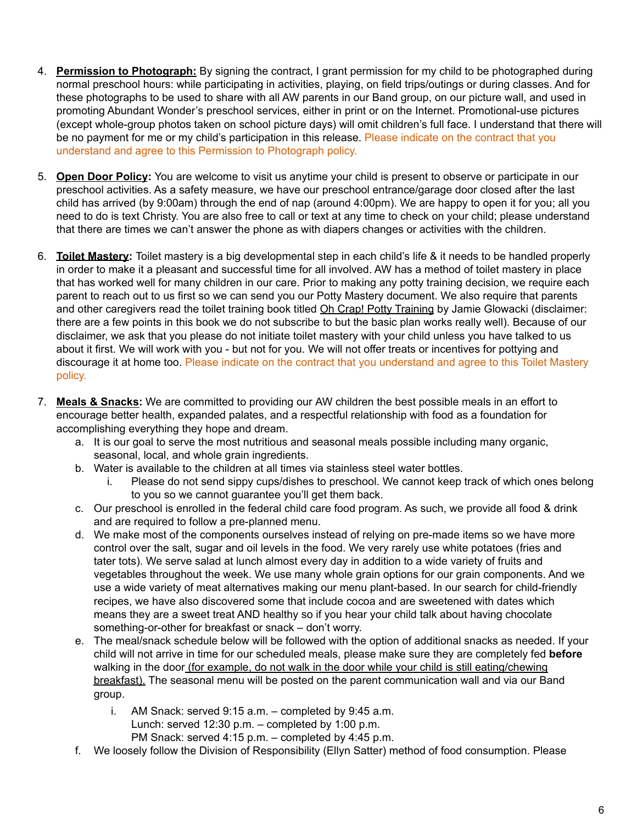- 4. **Permission to Photograph:** By signing the contract, I grant permission for my child to be photographed during normal preschool hours: while participating in activities, playing, on field trips/outings or during classes. And for these photographs to be used to share with all AW parents in our Band group, on our picture wall, and used in promoting Abundant Wonder's preschool services, either in print or on the Internet. Promotional-use pictures (except whole-group photos taken on school picture days) will omit children's full face. I understand that there will be no payment for me or my child's participation in this release. Please indicate on the contract that you understand and agree to this Permission to Photograph policy.
- 5. **Open Door Policy:** You are welcome to visit us anytime your child is present to observe or participate in our preschool activities. As a safety measure, we have our preschool entrance/garage door closed after the last child has arrived (by 9:00am) through the end of nap (around 4:00pm). We are happy to open it for you; all you need to do is text Christy. You are also free to call or text at any time to check on your child; please understand that there are times we can't answer the phone as with diapers changes or activities with the children.
- 6. **Toilet Mastery:** Toilet mastery is a big developmental step in each child's life & it needs to be handled properly in order to make it a pleasant and successful time for all involved. AW has a method of toilet mastery in place that has worked well for many children in our care. Prior to making any potty training decision, we require each parent to reach out to us first so we can send you our Potty Mastery document. We also require that parents and other caregivers read the toilet training book titled Oh Crap! Potty Training by Jamie Glowacki (disclaimer: there are a few points in this book we do not subscribe to but the basic plan works really well). Because of our disclaimer, we ask that you please do not initiate toilet mastery with your child unless you have talked to us about it first. We will work with you - but not for you. We will not offer treats or incentives for pottying and discourage it at home too. Please indicate on the contract that you understand and agree to this Toilet Mastery policy.
- 7. **Meals & Snacks:** We are committed to providing our AW children the best possible meals in an effort to encourage better health, expanded palates, and a respectful relationship with food as a foundation for accomplishing everything they hope and dream.
	- a. It is our goal to serve the most nutritious and seasonal meals possible including many organic, seasonal, local, and whole grain ingredients.
	- b. Water is available to the children at all times via stainless steel water bottles.
		- i. Please do not send sippy cups/dishes to preschool. We cannot keep track of which ones belong to you so we cannot guarantee you'll get them back.
	- c. Our preschool is enrolled in the federal child care food program. As such, we provide all food & drink and are required to follow a pre-planned menu.
	- d. We make most of the components ourselves instead of relying on pre-made items so we have more control over the salt, sugar and oil levels in the food. We very rarely use white potatoes (fries and tater tots). We serve salad at lunch almost every day in addition to a wide variety of fruits and vegetables throughout the week. We use many whole grain options for our grain components. And we use a wide variety of meat alternatives making our menu plant-based. In our search for child-friendly recipes, we have also discovered some that include cocoa and are sweetened with dates which means they are a sweet treat AND healthy so if you hear your child talk about having chocolate something-or-other for breakfast or snack – don't worry.
	- e. The meal/snack schedule below will be followed with the option of additional snacks as needed. If your child will not arrive in time for our scheduled meals, please make sure they are completely fed **before** walking in the door (for example, do not walk in the door while your child is still eating/chewing breakfast). The seasonal menu will be posted on the parent communication wall and via our Band group.
		- i. AM Snack: served 9:15 a.m. completed by 9:45 a.m. Lunch: served 12:30 p.m. – completed by 1:00 p.m. PM Snack: served 4:15 p.m. – completed by 4:45 p.m.
	- f. We loosely follow the Division of Responsibility (Ellyn Satter) method of food consumption. Please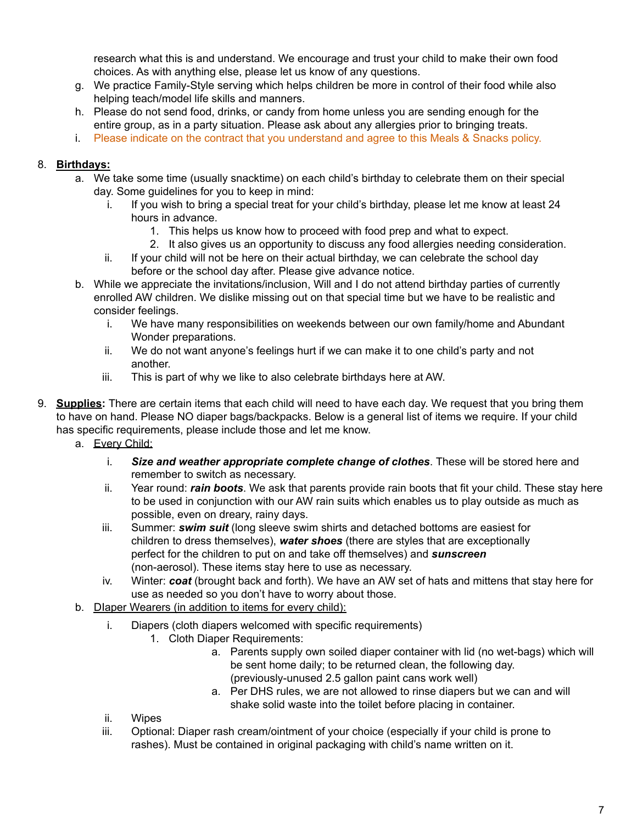research what this is and understand. We encourage and trust your child to make their own food choices. As with anything else, please let us know of any questions.

- g. We practice Family-Style serving which helps children be more in control of their food while also helping teach/model life skills and manners.
- h. Please do not send food, drinks, or candy from home unless you are sending enough for the entire group, as in a party situation. Please ask about any allergies prior to bringing treats.
- i. Please indicate on the contract that you understand and agree to this Meals & Snacks policy.

### 8. **Birthdays:**

- a. We take some time (usually snacktime) on each child's birthday to celebrate them on their special day. Some guidelines for you to keep in mind:
	- i. If you wish to bring a special treat for your child's birthday, please let me know at least 24 hours in advance.
		- 1. This helps us know how to proceed with food prep and what to expect.
		- 2. It also gives us an opportunity to discuss any food allergies needing consideration.
	- ii. If your child will not be here on their actual birthday, we can celebrate the school day before or the school day after. Please give advance notice.
- b. While we appreciate the invitations/inclusion, Will and I do not attend birthday parties of currently enrolled AW children. We dislike missing out on that special time but we have to be realistic and consider feelings.
	- i. We have many responsibilities on weekends between our own family/home and Abundant Wonder preparations.
	- ii. We do not want anyone's feelings hurt if we can make it to one child's party and not another.
	- iii. This is part of why we like to also celebrate birthdays here at AW.
- 9. **Supplies:** There are certain items that each child will need to have each day. We request that you bring them to have on hand. Please NO diaper bags/backpacks. Below is a general list of items we require. If your child has specific requirements, please include those and let me know.
	- a. Every Child:
		- i. *Size and weather appropriate complete change of clothes*. These will be stored here and remember to switch as necessary.
		- ii. Year round: *rain boots*. We ask that parents provide rain boots that fit your child. These stay here to be used in conjunction with our AW rain suits which enables us to play outside as much as possible, even on dreary, rainy days.
		- iii. Summer: *swim suit* (long sleeve swim shirts and detached bottoms are easiest for children to dress themselves), *water shoes* (there are styles that are exceptionally perfect for the children to put on and take off themselves) and *sunscreen* (non-aerosol). These items stay here to use as necessary.
		- iv. Winter: *coat* (brought back and forth). We have an AW set of hats and mittens that stay here for use as needed so you don't have to worry about those.
	- b. DIaper Wearers (in addition to items for every child):
		- i. Diapers (cloth diapers welcomed with specific requirements)
			- 1. Cloth Diaper Requirements:
				- a. Parents supply own soiled diaper container with lid (no wet-bags) which will be sent home daily; to be returned clean, the following day. (previously-unused 2.5 gallon paint cans work well)
				- a. Per DHS rules, we are not allowed to rinse diapers but we can and will shake solid waste into the toilet before placing in container.
		- ii. Wipes
		- iii. Optional: Diaper rash cream/ointment of your choice (especially if your child is prone to rashes). Must be contained in original packaging with child's name written on it.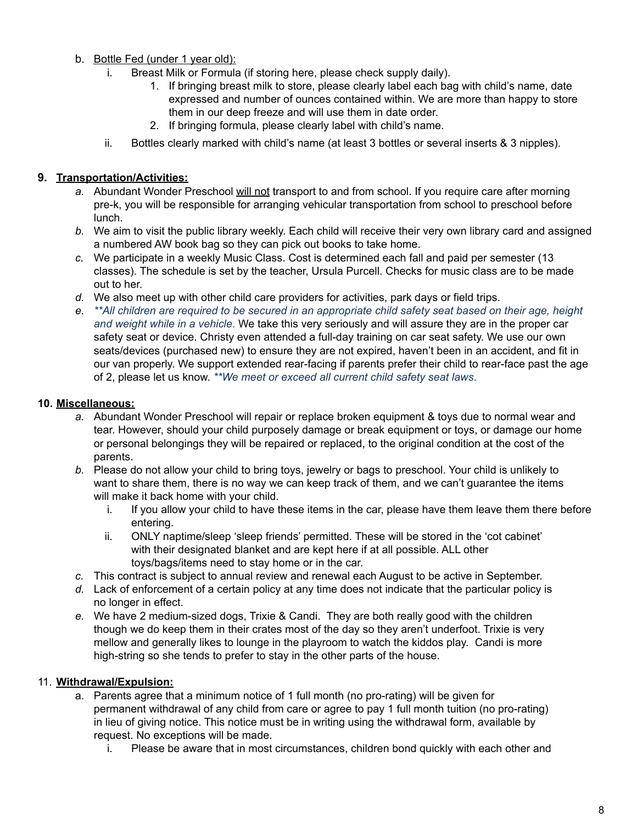- b. Bottle Fed (under 1 year old):
	- i. Breast Milk or Formula (if storing here, please check supply daily).
		- 1. If bringing breast milk to store, please clearly label each bag with child's name, date expressed and number of ounces contained within. We are more than happy to store them in our deep freeze and will use them in date order.
		- 2. If bringing formula, please clearly label with child's name.
	- ii. Bottles clearly marked with child's name (at least 3 bottles or several inserts & 3 nipples).

### **9. Transportation/Activities:**

- *a.* Abundant Wonder Preschool will not transport to and from school. If you require care after morning pre-k, you will be responsible for arranging vehicular transportation from school to preschool before lunch.
- *b.* We aim to visit the public library weekly. Each child will receive their very own library card and assigned a numbered AW book bag so they can pick out books to take home.
- *c.* We participate in a weekly Music Class. Cost is determined each fall and paid per semester (13 classes). The schedule is set by the teacher, Ursula Purcell. Checks for music class are to be made out to her.
- *d.* We also meet up with other child care providers for activities, park days or field trips.
- *e. \*\*All children are required to be secured in an appropriate child safety seat based on their age, height and weight while in a vehicle*. We take this very seriously and will assure they are in the proper car safety seat or device. Christy even attended a full-day training on car seat safety. We use our own seats/devices (purchased new) to ensure they are not expired, haven't been in an accident, and fit in our van properly. We support extended rear-facing if parents prefer their child to rear-face past the age of 2, please let us know. *\*\*We meet or exceed all current child safety seat laws*.

### **10. Miscellaneous:**

- *a.* Abundant Wonder Preschool will repair or replace broken equipment & toys due to normal wear and tear. However, should your child purposely damage or break equipment or toys, or damage our home or personal belongings they will be repaired or replaced, to the original condition at the cost of the parents.
- *b.* Please do not allow your child to bring toys, jewelry or bags to preschool. Your child is unlikely to want to share them, there is no way we can keep track of them, and we can't guarantee the items will make it back home with your child.
	- i. If you allow your child to have these items in the car, please have them leave them there before entering.
	- ii. ONLY naptime/sleep 'sleep friends' permitted. These will be stored in the 'cot cabinet' with their designated blanket and are kept here if at all possible. ALL other toys/bags/items need to stay home or in the car.
- *c.* This contract is subject to annual review and renewal each August to be active in September.
- *d.* Lack of enforcement of a certain policy at any time does not indicate that the particular policy is no longer in effect.
- *e.* We have 2 medium-sized dogs, Trixie & Candi. They are both really good with the children though we do keep them in their crates most of the day so they aren't underfoot. Trixie is very mellow and generally likes to lounge in the playroom to watch the kiddos play. Candi is more high-string so she tends to prefer to stay in the other parts of the house.

### 11. **Withdrawal/Expulsion:**

- a. Parents agree that a minimum notice of 1 full month (no pro-rating) will be given for permanent withdrawal of any child from care or agree to pay 1 full month tuition (no pro-rating) in lieu of giving notice. This notice must be in writing using the withdrawal form, available by request. No exceptions will be made.
	- i. Please be aware that in most circumstances, children bond quickly with each other and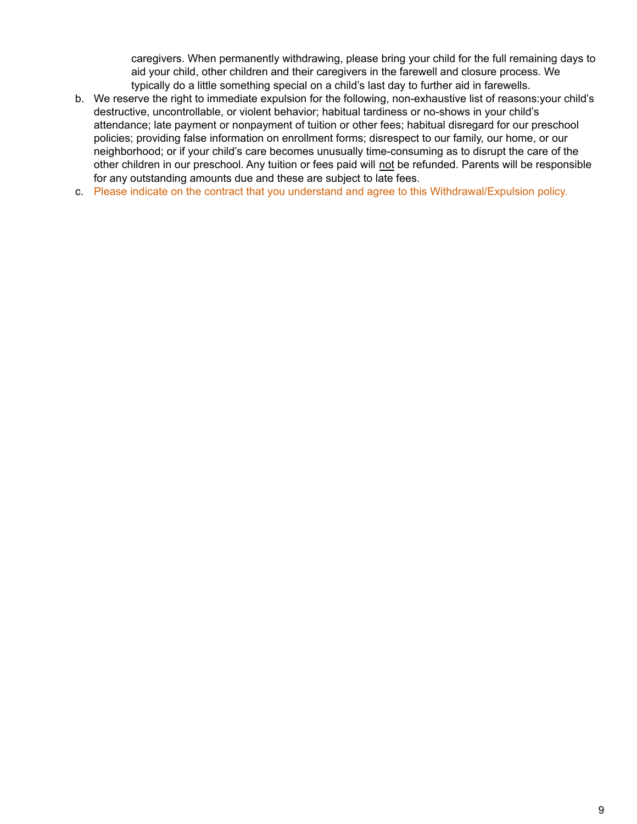caregivers. When permanently withdrawing, please bring your child for the full remaining days to aid your child, other children and their caregivers in the farewell and closure process. We typically do a little something special on a child's last day to further aid in farewells.

- b. We reserve the right to immediate expulsion for the following, non-exhaustive list of reasons:your child's destructive, uncontrollable, or violent behavior; habitual tardiness or no-shows in your child's attendance; late payment or nonpayment of tuition or other fees; habitual disregard for our preschool policies; providing false information on enrollment forms; disrespect to our family, our home, or our neighborhood; or if your child's care becomes unusually time-consuming as to disrupt the care of the other children in our preschool. Any tuition or fees paid will not be refunded. Parents will be responsible for any outstanding amounts due and these are subject to late fees.
- c. Please indicate on the contract that you understand and agree to this Withdrawal/Expulsion policy.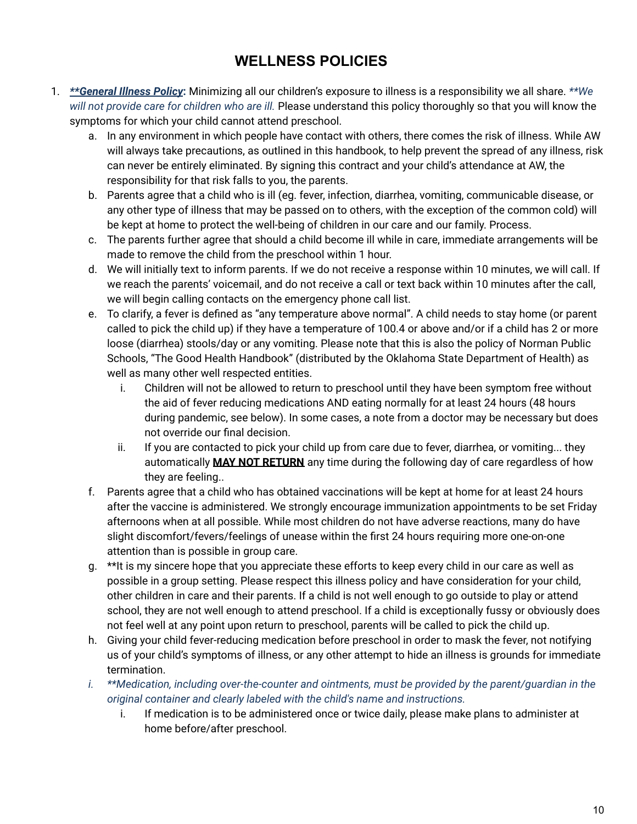### **WELLNESS POLICIES**

- 1. *\*\*General Illness Policy***:** Minimizing all our children's exposure to illness is a responsibility we all share. *\*\*We will not provide care for children who are ill.* Please understand this policy thoroughly so that you will know the symptoms for which your child cannot attend preschool.
	- a. In any environment in which people have contact with others, there comes the risk of illness. While AW will always take precautions, as outlined in this handbook, to help prevent the spread of any illness, risk can never be entirely eliminated. By signing this contract and your child's attendance at AW, the responsibility for that risk falls to you, the parents.
	- b. Parents agree that a child who is ill (eg. fever, infection, diarrhea, vomiting, communicable disease, or any other type of illness that may be passed on to others, with the exception of the common cold) will be kept at home to protect the well-being of children in our care and our family. Process.
	- c. The parents further agree that should a child become ill while in care, immediate arrangements will be made to remove the child from the preschool within 1 hour.
	- d. We will initially text to inform parents. If we do not receive a response within 10 minutes, we will call. If we reach the parents' voicemail, and do not receive a call or text back within 10 minutes after the call, we will begin calling contacts on the emergency phone call list.
	- e. To clarify, a fever is defined as "any temperature above normal". A child needs to stay home (or parent called to pick the child up) if they have a temperature of 100.4 or above and/or if a child has 2 or more loose (diarrhea) stools/day or any vomiting. Please note that this is also the policy of Norman Public Schools, "The Good Health Handbook" (distributed by the Oklahoma State Department of Health) as well as many other well respected entities.
		- i. Children will not be allowed to return to preschool until they have been symptom free without the aid of fever reducing medications AND eating normally for at least 24 hours (48 hours during pandemic, see below). In some cases, a note from a doctor may be necessary but does not override our final decision.
		- ii. If you are contacted to pick your child up from care due to fever, diarrhea, or vomiting... they automatically **MAY NOT RETURN** any time during the following day of care regardless of how they are feeling..
	- f. Parents agree that a child who has obtained vaccinations will be kept at home for at least 24 hours after the vaccine is administered. We strongly encourage immunization appointments to be set Friday afternoons when at all possible. While most children do not have adverse reactions, many do have slight discomfort/fevers/feelings of unease within the first 24 hours requiring more one-on-one attention than is possible in group care.
	- g. \*\*It is my sincere hope that you appreciate these efforts to keep every child in our care as well as possible in a group setting. Please respect this illness policy and have consideration for your child, other children in care and their parents. If a child is not well enough to go outside to play or attend school, they are not well enough to attend preschool. If a child is exceptionally fussy or obviously does not feel well at any point upon return to preschool, parents will be called to pick the child up.
	- h. Giving your child fever-reducing medication before preschool in order to mask the fever, not notifying us of your child's symptoms of illness, or any other attempt to hide an illness is grounds for immediate termination.
	- *i. \*\*Medication, including over-the-counter and ointments, must be provided by the parent/guardian in the original container and clearly labeled with the child's name and instructions.*
		- i. If medication is to be administered once or twice daily, please make plans to administer at home before/after preschool.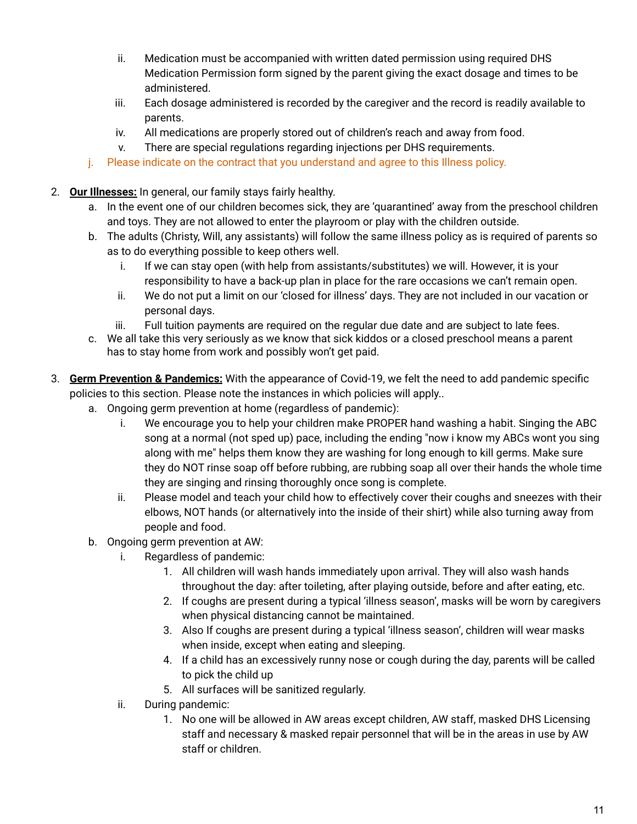- ii. Medication must be accompanied with written dated permission using required DHS Medication Permission form signed by the parent giving the exact dosage and times to be administered.
- iii. Each dosage administered is recorded by the caregiver and the record is readily available to parents.
- iv. All medications are properly stored out of children's reach and away from food.
- v. There are special regulations regarding injections per DHS requirements.
- j. Please indicate on the contract that you understand and agree to this Illness policy.
- 2. **Our Illnesses:** In general, our family stays fairly healthy.
	- a. In the event one of our children becomes sick, they are 'quarantined' away from the preschool children and toys. They are not allowed to enter the playroom or play with the children outside.
	- b. The adults (Christy, Will, any assistants) will follow the same illness policy as is required of parents so as to do everything possible to keep others well.
		- i. If we can stay open (with help from assistants/substitutes) we will. However, it is your responsibility to have a back-up plan in place for the rare occasions we can't remain open.
		- ii. We do not put a limit on our 'closed for illness' days. They are not included in our vacation or personal days.
		- iii. Full tuition payments are required on the regular due date and are subject to late fees.
	- c. We all take this very seriously as we know that sick kiddos or a closed preschool means a parent has to stay home from work and possibly won't get paid.
- 3. **Germ Prevention & Pandemics:** With the appearance of Covid-19, we felt the need to add pandemic specific policies to this section. Please note the instances in which policies will apply..
	- a. Ongoing germ prevention at home (regardless of pandemic):
		- i. We encourage you to help your children make PROPER hand washing a habit. Singing the ABC song at a normal (not sped up) pace, including the ending "now i know my ABCs wont you sing along with me" helps them know they are washing for long enough to kill germs. Make sure they do NOT rinse soap off before rubbing, are rubbing soap all over their hands the whole time they are singing and rinsing thoroughly once song is complete.
		- ii. Please model and teach your child how to effectively cover their coughs and sneezes with their elbows, NOT hands (or alternatively into the inside of their shirt) while also turning away from people and food.
		- b. Ongoing germ prevention at AW:
			- i. Regardless of pandemic:
				- 1. All children will wash hands immediately upon arrival. They will also wash hands throughout the day: after toileting, after playing outside, before and after eating, etc.
				- 2. If coughs are present during a typical 'illness season', masks will be worn by caregivers when physical distancing cannot be maintained.
				- 3. Also If coughs are present during a typical 'illness season', children will wear masks when inside, except when eating and sleeping.
				- 4. If a child has an excessively runny nose or cough during the day, parents will be called to pick the child up
				- 5. All surfaces will be sanitized regularly.
			- ii. During pandemic:
				- 1. No one will be allowed in AW areas except children, AW staff, masked DHS Licensing staff and necessary & masked repair personnel that will be in the areas in use by AW staff or children.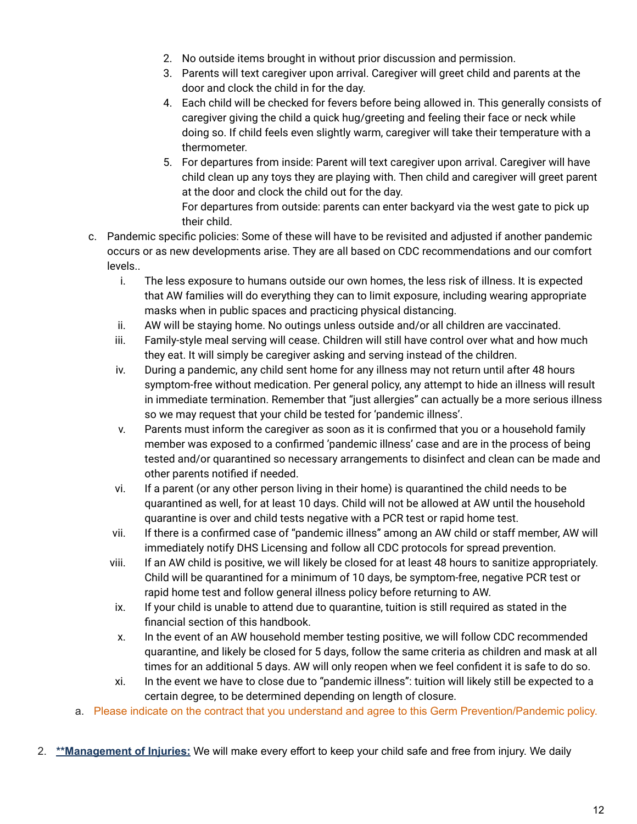- 2. No outside items brought in without prior discussion and permission.
- 3. Parents will text caregiver upon arrival. Caregiver will greet child and parents at the door and clock the child in for the day.
- 4. Each child will be checked for fevers before being allowed in. This generally consists of caregiver giving the child a quick hug/greeting and feeling their face or neck while doing so. If child feels even slightly warm, caregiver will take their temperature with a thermometer.
- 5. For departures from inside: Parent will text caregiver upon arrival. Caregiver will have child clean up any toys they are playing with. Then child and caregiver will greet parent at the door and clock the child out for the day. For departures from outside: parents can enter backyard via the west gate to pick up
- their child. c. Pandemic specific policies: Some of these will have to be revisited and adjusted if another pandemic occurs or as new developments arise. They are all based on CDC recommendations and our comfort
	- levels.. i. The less exposure to humans outside our own homes, the less risk of illness. It is expected that AW families will do everything they can to limit exposure, including wearing appropriate masks when in public spaces and practicing physical distancing.
		- ii. AW will be staying home. No outings unless outside and/or all children are vaccinated.
		- iii. Family-style meal serving will cease. Children will still have control over what and how much they eat. It will simply be caregiver asking and serving instead of the children.
		- iv. During a pandemic, any child sent home for any illness may not return until after 48 hours symptom-free without medication. Per general policy, any attempt to hide an illness will result in immediate termination. Remember that "just allergies" can actually be a more serious illness so we may request that your child be tested for 'pandemic illness'.
		- v. Parents must inform the caregiver as soon as it is confirmed that you or a household family member was exposed to a confirmed 'pandemic illness' case and are in the process of being tested and/or quarantined so necessary arrangements to disinfect and clean can be made and other parents notified if needed.
		- vi. If a parent (or any other person living in their home) is quarantined the child needs to be quarantined as well, for at least 10 days. Child will not be allowed at AW until the household quarantine is over and child tests negative with a PCR test or rapid home test.
	- vii. If there is a confirmed case of "pandemic illness" among an AW child or staff member, AW will immediately notify DHS Licensing and follow all CDC protocols for spread prevention.
	- viii. If an AW child is positive, we will likely be closed for at least 48 hours to sanitize appropriately. Child will be quarantined for a minimum of 10 days, be symptom-free, negative PCR test or rapid home test and follow general illness policy before returning to AW.
	- ix. If your child is unable to attend due to quarantine, tuition is still required as stated in the financial section of this handbook.
	- x. In the event of an AW household member testing positive, we will follow CDC recommended quarantine, and likely be closed for 5 days, follow the same criteria as children and mask at all times for an additional 5 days. AW will only reopen when we feel confident it is safe to do so.
	- xi. In the event we have to close due to "pandemic illness": tuition will likely still be expected to a certain degree, to be determined depending on length of closure.
- a. Please indicate on the contract that you understand and agree to this Germ Prevention/Pandemic policy.
- 2. **\*\*Management of Injuries:** We will make every effort to keep your child safe and free from injury. We daily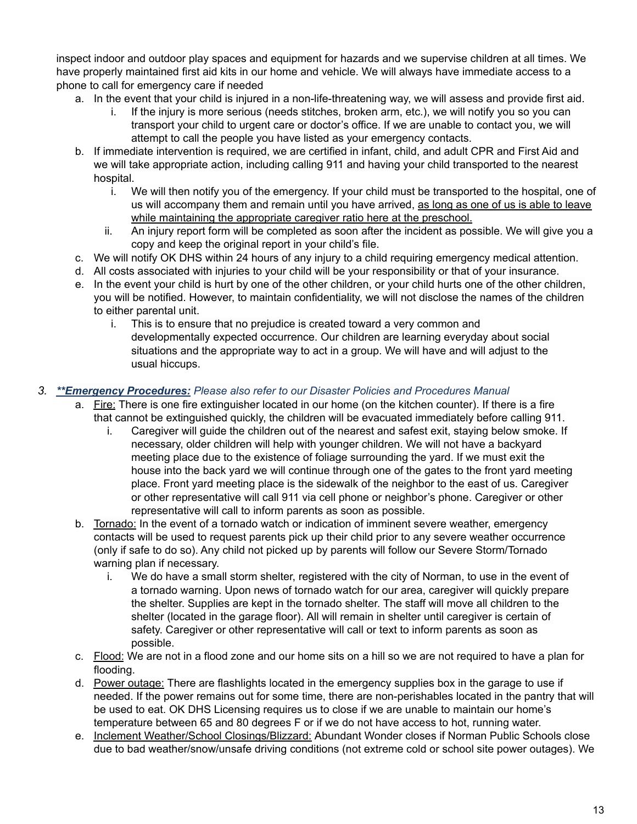inspect indoor and outdoor play spaces and equipment for hazards and we supervise children at all times. We have properly maintained first aid kits in our home and vehicle. We will always have immediate access to a phone to call for emergency care if needed

- a. In the event that your child is injured in a non-life-threatening way, we will assess and provide first aid.
	- i. If the injury is more serious (needs stitches, broken arm, etc.), we will notify you so you can transport your child to urgent care or doctor's office. If we are unable to contact you, we will attempt to call the people you have listed as your emergency contacts.
- b. If immediate intervention is required, we are certified in infant, child, and adult CPR and First Aid and we will take appropriate action, including calling 911 and having your child transported to the nearest hospital.
	- i. We will then notify you of the emergency. If your child must be transported to the hospital, one of us will accompany them and remain until you have arrived, as long as one of us is able to leave while maintaining the appropriate caregiver ratio here at the preschool.
	- ii. An injury report form will be completed as soon after the incident as possible. We will give you a copy and keep the original report in your child's file.
- c. We will notify OK DHS within 24 hours of any injury to a child requiring emergency medical attention.
- d. All costs associated with injuries to your child will be your responsibility or that of your insurance.
- e. In the event your child is hurt by one of the other children, or your child hurts one of the other children, you will be notified. However, to maintain confidentiality, we will not disclose the names of the children to either parental unit.
	- i. This is to ensure that no prejudice is created toward a very common and developmentally expected occurrence. Our children are learning everyday about social situations and the appropriate way to act in a group. We will have and will adjust to the usual hiccups.

#### *3. \*\*Emergency Procedures: Please also refer to our Disaster Policies and Procedures Manual*

- a. Fire: There is one fire extinguisher located in our home (on the kitchen counter). If there is a fire that cannot be extinguished quickly, the children will be evacuated immediately before calling 911.
	- i. Caregiver will guide the children out of the nearest and safest exit, staying below smoke. If necessary, older children will help with younger children. We will not have a backyard meeting place due to the existence of foliage surrounding the yard. If we must exit the house into the back yard we will continue through one of the gates to the front yard meeting place. Front yard meeting place is the sidewalk of the neighbor to the east of us. Caregiver or other representative will call 911 via cell phone or neighbor's phone. Caregiver or other representative will call to inform parents as soon as possible.
- b. Tornado: In the event of a tornado watch or indication of imminent severe weather, emergency contacts will be used to request parents pick up their child prior to any severe weather occurrence (only if safe to do so). Any child not picked up by parents will follow our Severe Storm/Tornado warning plan if necessary.
	- i. We do have a small storm shelter, registered with the city of Norman, to use in the event of a tornado warning. Upon news of tornado watch for our area, caregiver will quickly prepare the shelter. Supplies are kept in the tornado shelter. The staff will move all children to the shelter (located in the garage floor). All will remain in shelter until caregiver is certain of safety. Caregiver or other representative will call or text to inform parents as soon as possible.
- c. Flood: We are not in a flood zone and our home sits on a hill so we are not required to have a plan for flooding.
- d. Power outage: There are flashlights located in the emergency supplies box in the garage to use if needed. If the power remains out for some time, there are non-perishables located in the pantry that will be used to eat. OK DHS Licensing requires us to close if we are unable to maintain our home's temperature between 65 and 80 degrees F or if we do not have access to hot, running water.
- e. Inclement Weather/School Closings/Blizzard: Abundant Wonder closes if Norman Public Schools close due to bad weather/snow/unsafe driving conditions (not extreme cold or school site power outages). We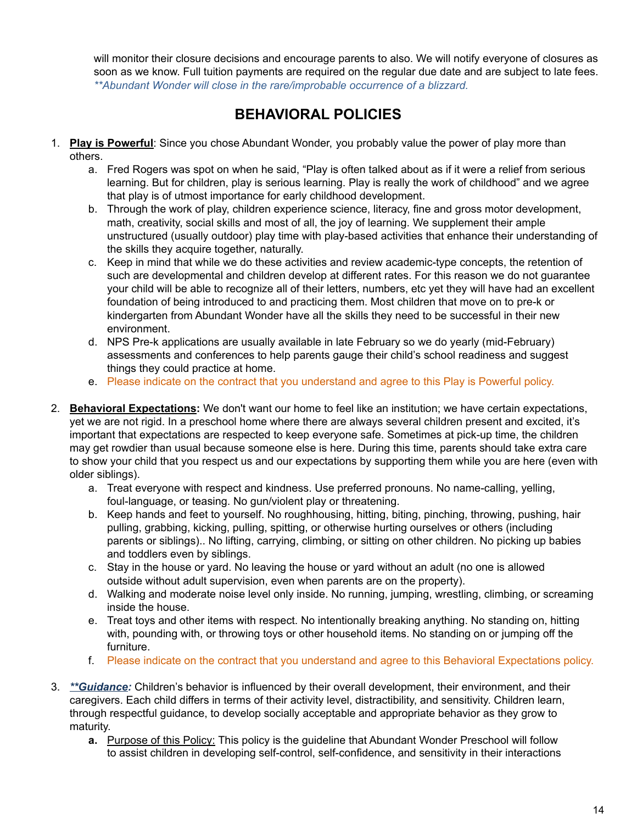will monitor their closure decisions and encourage parents to also. We will notify everyone of closures as soon as we know. Full tuition payments are required on the regular due date and are subject to late fees. *\*\*Abundant Wonder will close in the rare/improbable occurrence of a blizzard.*

### **BEHAVIORAL POLICIES**

- 1. **Play is Powerful**: Since you chose Abundant Wonder, you probably value the power of play more than others.
	- a. Fred Rogers was spot on when he said, "Play is often talked about as if it were a relief from serious learning. But for children, play is serious learning. Play is really the work of childhood" and we agree that play is of utmost importance for early childhood development.
	- b. Through the work of play, children experience science, literacy, fine and gross motor development, math, creativity, social skills and most of all, the joy of learning. We supplement their ample unstructured (usually outdoor) play time with play-based activities that enhance their understanding of the skills they acquire together, naturally.
	- c. Keep in mind that while we do these activities and review academic-type concepts, the retention of such are developmental and children develop at different rates. For this reason we do not guarantee your child will be able to recognize all of their letters, numbers, etc yet they will have had an excellent foundation of being introduced to and practicing them. Most children that move on to pre-k or kindergarten from Abundant Wonder have all the skills they need to be successful in their new environment.
	- d. NPS Pre-k applications are usually available in late February so we do yearly (mid-February) assessments and conferences to help parents gauge their child's school readiness and suggest things they could practice at home.
	- e. Please indicate on the contract that you understand and agree to this Play is Powerful policy.
- 2. **Behavioral Expectations:** We don't want our home to feel like an institution; we have certain expectations, yet we are not rigid. In a preschool home where there are always several children present and excited, it's important that expectations are respected to keep everyone safe. Sometimes at pick-up time, the children may get rowdier than usual because someone else is here. During this time, parents should take extra care to show your child that you respect us and our expectations by supporting them while you are here (even with older siblings).
	- a. Treat everyone with respect and kindness. Use preferred pronouns. No name-calling, yelling, foul-language, or teasing. No gun/violent play or threatening.
	- b. Keep hands and feet to yourself. No roughhousing, hitting, biting, pinching, throwing, pushing, hair pulling, grabbing, kicking, pulling, spitting, or otherwise hurting ourselves or others (including parents or siblings).. No lifting, carrying, climbing, or sitting on other children. No picking up babies and toddlers even by siblings.
	- c. Stay in the house or yard. No leaving the house or yard without an adult (no one is allowed outside without adult supervision, even when parents are on the property).
	- d. Walking and moderate noise level only inside. No running, jumping, wrestling, climbing, or screaming inside the house.
	- e. Treat toys and other items with respect. No intentionally breaking anything. No standing on, hitting with, pounding with, or throwing toys or other household items. No standing on or jumping off the furniture.
	- f. Please indicate on the contract that you understand and agree to this Behavioral Expectations policy.
- 3. *\*\*Guidance:* Children's behavior is influenced by their overall development, their environment, and their caregivers. Each child differs in terms of their activity level, distractibility, and sensitivity. Children learn, through respectful guidance, to develop socially acceptable and appropriate behavior as they grow to maturity.
	- **a.** Purpose of this Policy: This policy is the guideline that Abundant Wonder Preschool will follow to assist children in developing self-control, self-confidence, and sensitivity in their interactions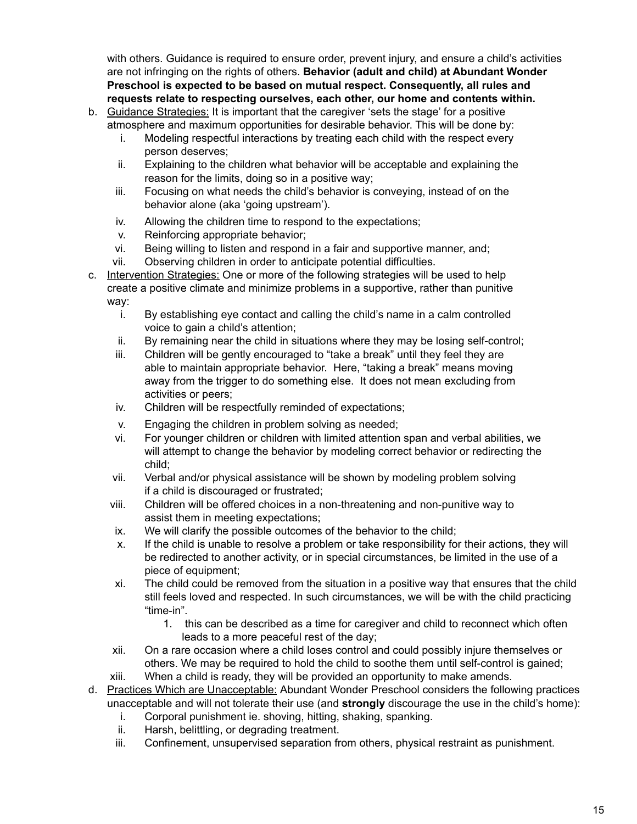with others. Guidance is required to ensure order, prevent injury, and ensure a child's activities are not infringing on the rights of others. **Behavior (adult and child) at Abundant Wonder Preschool is expected to be based on mutual respect. Consequently, all rules and requests relate to respecting ourselves, each other, our home and contents within.**

- b. Guidance Strategies: It is important that the caregiver 'sets the stage' for a positive atmosphere and maximum opportunities for desirable behavior. This will be done by:
	- i. Modeling respectful interactions by treating each child with the respect every person deserves;
	- ii. Explaining to the children what behavior will be acceptable and explaining the reason for the limits, doing so in a positive way;
	- iii. Focusing on what needs the child's behavior is conveying, instead of on the behavior alone (aka 'going upstream').
	- iv. Allowing the children time to respond to the expectations;
	- v. Reinforcing appropriate behavior;
	- vi. Being willing to listen and respond in a fair and supportive manner, and;
	- vii. Observing children in order to anticipate potential difficulties.
- c. Intervention Strategies: One or more of the following strategies will be used to help create a positive climate and minimize problems in a supportive, rather than punitive way:
	- i. By establishing eye contact and calling the child's name in a calm controlled voice to gain a child's attention;
	- ii. By remaining near the child in situations where they may be losing self-control;
	- iii. Children will be gently encouraged to "take a break" until they feel they are able to maintain appropriate behavior. Here, "taking a break" means moving away from the trigger to do something else. It does not mean excluding from activities or peers;
	- iv. Children will be respectfully reminded of expectations;
	- v. Engaging the children in problem solving as needed;
	- vi. For younger children or children with limited attention span and verbal abilities, we will attempt to change the behavior by modeling correct behavior or redirecting the child;
	- vii. Verbal and/or physical assistance will be shown by modeling problem solving if a child is discouraged or frustrated;
	- viii. Children will be offered choices in a non-threatening and non-punitive way to assist them in meeting expectations;
	- ix. We will clarify the possible outcomes of the behavior to the child;
	- x. If the child is unable to resolve a problem or take responsibility for their actions, they will be redirected to another activity, or in special circumstances, be limited in the use of a piece of equipment;
	- xi. The child could be removed from the situation in a positive way that ensures that the child still feels loved and respected. In such circumstances, we will be with the child practicing "time-in".
		- 1. this can be described as a time for caregiver and child to reconnect which often leads to a more peaceful rest of the day;
	- xii. On a rare occasion where a child loses control and could possibly injure themselves or others. We may be required to hold the child to soothe them until self-control is gained;
	- xiii. When a child is ready, they will be provided an opportunity to make amends.
- d. Practices Which are Unacceptable: Abundant Wonder Preschool considers the following practices unacceptable and will not tolerate their use (and **strongly** discourage the use in the child's home):
	- i. Corporal punishment ie. shoving, hitting, shaking, spanking.
	- ii. Harsh, belittling, or degrading treatment.
	- iii. Confinement, unsupervised separation from others, physical restraint as punishment.